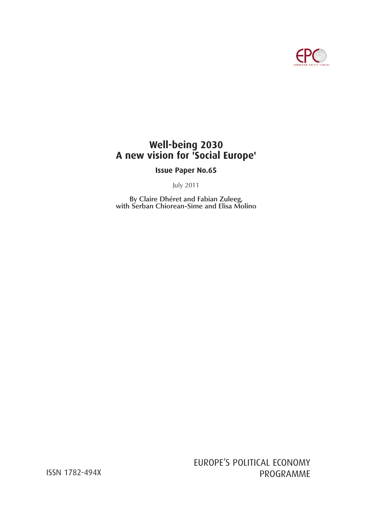

# **Well-being 2030 A new vision for 'Social Europe'**

**Issue Paper No.65**

July 2011

**By Claire Dhéret and Fabian Zuleeg, with Serban Chiorean-Sime and Elisa Molino**

EUROPE'S POLITICAL ECONOMY ISSN 1782-494X PROGRAMME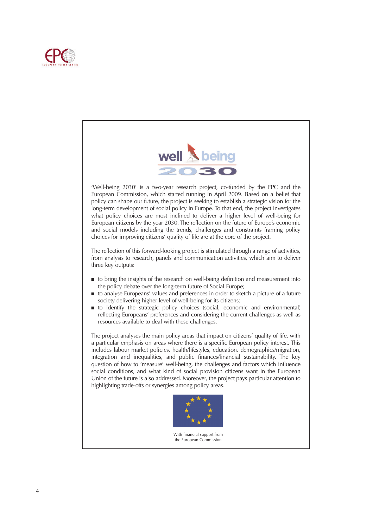



'Well-being 2030' is a two-year research project, co-funded by the EPC and the European Commission, which started running in April 2009. Based on a belief that policy can shape our future, the project is seeking to establish a strategic vision for the long-term development of social policy in Europe. To that end, the project investigates what policy choices are most inclined to deliver a higher level of well-being for European citizens by the year 2030. The reflection on the future of Europe's economic and social models including the trends, challenges and constraints framing policy choices for improving citizens' quality of life are at the core of the project.

The reflection of this forward-looking project is stimulated through a range of activities, from analysis to research, panels and communication activities, which aim to deliver three key outputs:

- to bring the insights of the research on well-being definition and measurement into the policy debate over the long-term future of Social Europe;
- to analyse Europeans' values and preferences in order to sketch a picture of a future society delivering higher level of well-being for its citizens;
- to identify the strategic policy choices (social, economic and environmental) reflecting Europeans' preferences and considering the current challenges as well as resources available to deal with these challenges.

The project analyses the main policy areas that impact on citizens' quality of life, with a particular emphasis on areas where there is a specific European policy interest. This includes labour market policies, health/lifestyles, education, demographics/migration, integration and inequalities, and public finances/financial sustainability. The key question of how to 'measure' well-being, the challenges and factors which influence social conditions, and what kind of social provision citizens want in the European Union of the future is also addressed. Moreover, the project pays particular attention to highlighting trade-offs or synergies among policy areas.



With financial support from the European Commission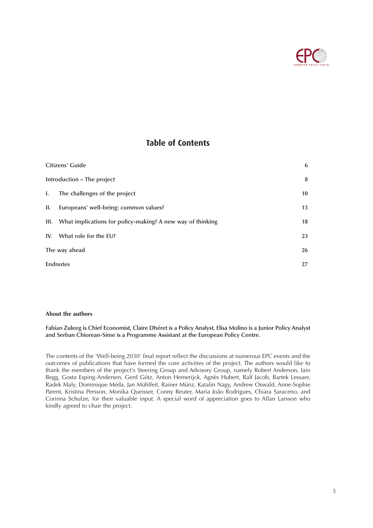

### **Table of Contents**

| Citizens' Guide<br>Introduction - The project |                                                                 | 6               |
|-----------------------------------------------|-----------------------------------------------------------------|-----------------|
|                                               |                                                                 | 8               |
| I.                                            | The challenges of the project                                   | 10 <sup>°</sup> |
| II.                                           | Europeans' well-being: common values?                           | 13              |
|                                               | III. What implications for policy-making? A new way of thinking | 18              |
|                                               | IV. What role for the EU?                                       | 23              |
| The way ahead                                 |                                                                 | 26              |
| <b>Endnotes</b>                               |                                                                 | 27              |

### **About the authors**

**Fabian Zuleeg is Chief Economist, Claire Dhéret is a Policy Analyst, Elisa Molino is a Junior Policy Analyst and Serban Chiorean-Sime is a Programme Assistant at the European Policy Centre.**

The contents of the 'Well-being 2030' final report reflect the discussions at numerous EPC events and the outcomes of publications that have formed the core activities of the project. The authors would like to thank the members of the project's Steering Group and Advisory Group, namely Robert Anderson, Iain Begg, Gosta Esping-Andersen, Gerd Götz, Anton Hemerijck, Agnès Hubert, Ralf Jacob, Bartek Lessaer, Radek Maly, Dominique Méda, Jan Mühlfeit, Rainer Münz, Katalin Nagy, Andrew Oswald, Anne-Sophie Parent, Kristina Persson, Monika Queisser, Conny Reuter, Maria João Rodrigues, Chiara Saraceno, and Corinna Schulze, for their valuable input. A special word of appreciation goes to Allan Larsson who kindly agreed to chair the project.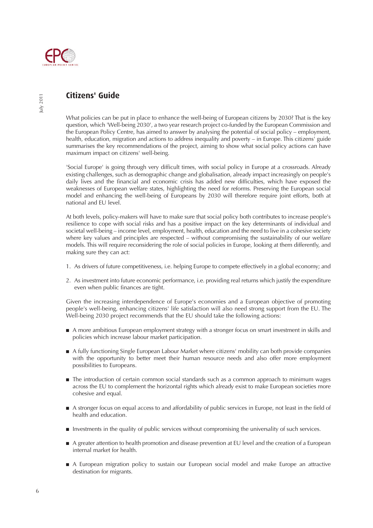

## **Citizens' Guide**

What policies can be put in place to enhance the well-being of European citizens by 2030? That is the key question, which 'Well-being 2030', a two year research project co-funded by the European Commission and the European Policy Centre, has aimed to answer by analysing the potential of social policy – employment, health, education, migration and actions to address inequality and poverty – in Europe. This citizens' guide summarises the key recommendations of the project, aiming to show what social policy actions can have maximum impact on citizens' well-being.

'Social Europe' is going through very difficult times, with social policy in Europe at a crossroads. Already existing challenges, such as demographic change and globalisation, already impact increasingly on people's daily lives and the financial and economic crisis has added new difficulties, which have exposed the weaknesses of European welfare states, highlighting the need for reforms. Preserving the European social model and enhancing the well-being of Europeans by 2030 will therefore require joint efforts, both at national and EU level.

At both levels, policy-makers will have to make sure that social policy both contributes to increase people's resilience to cope with social risks and has a positive impact on the key determinants of individual and societal well-being – income level, employment, health, education and the need to live in a cohesive society where key values and principles are respected – without compromising the sustainability of our welfare models. This will require reconsidering the role of social policies in Europe, looking at them differently, and making sure they can act:

- 1. As drivers of future competitiveness, i.e. helping Europe to compete effectively in a global economy; and
- 2. As investment into future economic performance, i.e. providing real returns which justify the expenditure even when public finances are tight.

Given the increasing interdependence of Europe's economies and a European objective of promoting people's well-being, enhancing citizens' life satisfaction will also need strong support from the EU. The Well-being 2030 project recommends that the EU should take the following actions:

- A more ambitious European employment strategy with a stronger focus on smart investment in skills and policies which increase labour market participation.
- A fully functioning Single European Labour Market where citizens' mobility can both provide companies with the opportunity to better meet their human resource needs and also offer more employment possibilities to Europeans.
- The introduction of certain common social standards such as a common approach to minimum wages across the EU to complement the horizontal rights which already exist to make European societies more cohesive and equal.
- A stronger focus on equal access to and affordability of public services in Europe, not least in the field of health and education.
- Investments in the quality of public services without compromising the universality of such services.
- A greater attention to health promotion and disease prevention at EU level and the creation of a European internal market for health.
- A European migration policy to sustain our European social model and make Europe an attractive destination for migrants.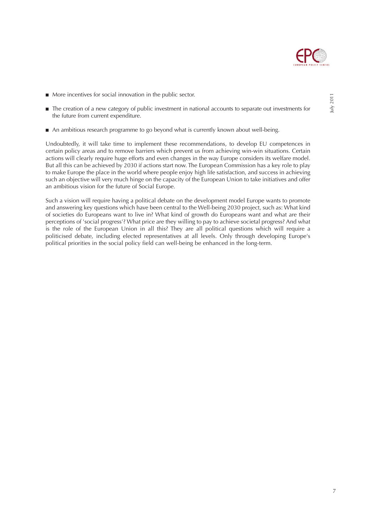

- More incentives for social innovation in the public sector.
- The creation of a new category of public investment in national accounts to separate out investments for the future from current expenditure.
- An ambitious research programme to go beyond what is currently known about well-being.

Undoubtedly, it will take time to implement these recommendations, to develop EU competences in certain policy areas and to remove barriers which prevent us from achieving win-win situations. Certain actions will clearly require huge efforts and even changes in the way Europe considers its welfare model. But all this can be achieved by 2030 if actions start now. The European Commission has a key role to play to make Europe the place in the world where people enjoy high life satisfaction, and success in achieving such an objective will very much hinge on the capacity of the European Union to take initiatives and offer an ambitious vision for the future of Social Europe.

Such a vision will require having a political debate on the development model Europe wants to promote and answering key questions which have been central to the Well-being 2030 project, such as: What kind of societies do Europeans want to live in? What kind of growth do Europeans want and what are their perceptions of 'social progress'? What price are they willing to pay to achieve societal progress? And what is the role of the European Union in all this? They are all political questions which will require a politicised debate, including elected representatives at all levels. Only through developing Europe's political priorities in the social policy field can well-being be enhanced in the long-term.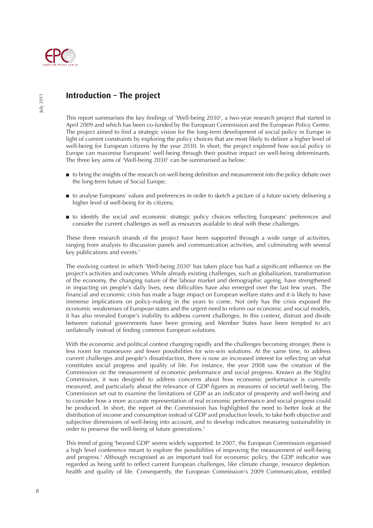

## **Introduction – The project**

This report summarises the key findings of 'Well-being 2030', a two-year research project that started in April 2009 and which has been co-funded by the European Commission and the European Policy Centre. The project aimed to find a strategic vision for the long-term development of social policy in Europe in light of current constraints by exploring the policy choices that are most likely to deliver a higher level of well-being for European citizens by the year 2030. In short, the project explored how social policy in Europe can maximise Europeans' well-being through their positive impact on well-being determinants. The three key aims of 'Well-being 2030' can be summarised as below:

- to bring the insights of the research on well-being definition and measurement into the policy debate over the long-term future of Social Europe;
- to analyse Europeans' values and preferences in order to sketch a picture of a future society delivering a higher level of well-being for its citizens;
- to identify the social and economic strategic policy choices reflecting Europeans' preferences and consider the current challenges as well as resources available to deal with these challenges.

These three research strands of the project have been supported through a wide range of activities, ranging from analysis to discussion panels and communication activities, and culminating with several key publications and events.<sup>1</sup>

The evolving context in which 'Well-being 2030' has taken place has had a significant influence on the project's activities and outcomes. While already existing challenges, such as globalisation, transformation of the economy, the changing nature of the labour market and demographic ageing, have strengthened in impacting on people's daily lives, new difficulties have also emerged over the last few years. The financial and economic crisis has made a huge impact on European welfare states and it is likely to have immense implications on policy-making in the years to come. Not only has the crisis exposed the economic weaknesses of European states and the urgent need to reform our economic and social models, it has also revealed Europe's inability to address current challenges. In this context, distrust and divide between national governments have been growing and Member States have been tempted to act unilaterally instead of finding common European solutions.

With the economic and political context changing rapidly and the challenges becoming stronger, there is less room for manoeuvre and fewer possibilities for win-win solutions. At the same time, to address current challenges and people's dissatisfaction, there is now an increased interest for reflecting on what constitutes social progress and quality of life. For instance, the year 2008 saw the creation of the Commission on the measurement of economic performance and social progress. Known as the Stiglitz Commission, it was designed to address concerns about how economic performance is currently measured, and particularly about the relevance of GDP figures as measures of societal well-being. The Commission set out to examine the limitations of GDP as an indicator of prosperity and well-being and to consider how a more accurate representation of real economic performance and social progress could be produced. In short, the report of the Commission has highlighted the need to better look at the distribution of income and consumption instead of GDP and production levels, to take both objective and subjective dimensions of well-being into account, and to develop indicators measuring sustainability in order to preserve the well-being of future generations.<sup>2</sup>

This trend of going 'beyond GDP' seems widely supported. In 2007, the European Commission organised a high level conference meant to explore the possibilities of improving the measurement of well-being and progress.<sup>3</sup> Although recognised as an important tool for economic policy, the GDP indicator was regarded as being unfit to reflect current European challenges, like climate change, resource depletion, health and quality of life. Consequently, the European Commission's 2009 Communication, entitled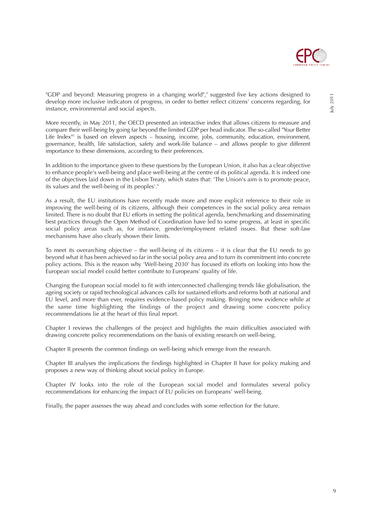

"GDP and beyond: Measuring progress in a changing world",<sup>4</sup> suggested five key actions designed to develop more inclusive indicators of progress, in order to better reflect citizens' concerns regarding, for instance, environmental and social aspects.

More recently, in May 2011, the OECD presented an interactive index that allows citizens to measure and compare their well-being by going far beyond the limited GDP per head indicator. The so-called "Your Better Life Index $n_{5}$  is based on eleven aspects – housing, income, jobs, community, education, environment, governance, health, life satisfaction, safety and work-life balance – and allows people to give different importance to these dimensions, according to their preferences.

In addition to the importance given to these questions by the European Union, it also has a clear objective to enhance people's well-being and place well-being at the centre of its political agenda. It is indeed one of the objectives laid down in the Lisbon Treaty, which states that: 'The Union's aim is to promote peace, its values and the well-being of its peoples<sup>'.6</sup>

As a result, the EU institutions have recently made more and more explicit reference to their role in improving the well-being of its citizens, although their competences in the social policy area remain limited. There is no doubt that EU efforts in setting the political agenda, benchmarking and disseminating best practices through the Open Method of Coordination have led to some progress, at least in specific social policy areas such as, for instance, gender/employment related issues. But these soft-law mechanisms have also clearly shown their limits.

To meet its overarching objective – the well-being of its citizens – it is clear that the EU needs to go beyond what it has been achieved so far in the social policy area and to turn its commitment into concrete policy actions. This is the reason why 'Well-being 2030' has focused its efforts on looking into how the European social model could better contribute to Europeans' quality of life.

Changing the European social model to fit with interconnected challenging trends like globalisation, the ageing society or rapid technological advances calls for sustained efforts and reforms both at national and EU level, and more than ever, requires evidence-based policy making. Bringing new evidence while at the same time highlighting the findings of the project and drawing some concrete policy recommendations lie at the heart of this final report.

Chapter I reviews the challenges of the project and highlights the main difficulties associated with drawing concrete policy recommendations on the basis of existing research on well-being.

Chapter II presents the common findings on well-being which emerge from the research.

Chapter III analyses the implications the findings highlighted in Chapter II have for policy making and proposes a new way of thinking about social policy in Europe.

Chapter IV looks into the role of the European social model and formulates several policy recommendations for enhancing the impact of EU policies on Europeans' well-being.

Finally, the paper assesses the way ahead and concludes with some reflection for the future.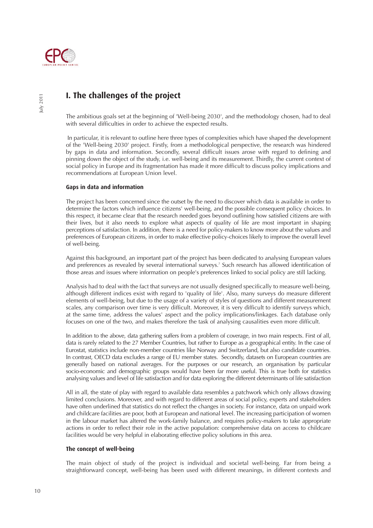

## **I. The challenges of the project**

The ambitious goals set at the beginning of 'Well-being 2030', and the methodology chosen, had to deal with several difficulties in order to achieve the expected results.

In particular, it is relevant to outline here three types of complexities which have shaped the development of the 'Well-being 2030' project. Firstly, from a methodological perspective, the research was hindered by gaps in data and information. Secondly, several difficult issues arose with regard to defining and pinning down the object of the study, i.e. well-being and its measurement. Thirdly, the current context of social policy in Europe and its fragmentation has made it more difficult to discuss policy implications and recommendations at European Union level.

### **Gaps in data and information**

The project has been concerned since the outset by the need to discover which data is available in order to determine the factors which influence citizens' well-being, and the possible consequent policy choices. In this respect, it became clear that the research needed goes beyond outlining how satisfied citizens are with their lives, but it also needs to explore what aspects of quality of life are most important in shaping perceptions of satisfaction. In addition, there is a need for policy-makers to know more about the values and preferences of European citizens, in order to make effective policy-choices likely to improve the overall level of well-being.

Against this background, an important part of the project has been dedicated to analysing European values and preferences as revealed by several international surveys.<sup>7</sup> Such research has allowed identification of those areas and issues where information on people's preferences linked to social policy are still lacking.

Analysis had to deal with the fact that surveys are not usually designed specifically to measure well-being, although different indices exist with regard to 'quality of life'. Also, many surveys do measure different elements of well-being, but due to the usage of a variety of styles of questions and different measurement scales, any comparison over time is very difficult. Moreover, it is very difficult to identify surveys which, at the same time, address the values' aspect and the policy implications/linkages. Each database only focuses on one of the two, and makes therefore the task of analysing causalities even more difficult.

In addition to the above, data gathering suffers from a problem of coverage, in two main respects. First of all, data is rarely related to the 27 Member Countries, but rather to Europe as a geographical entity. In the case of Eurostat, statistics include non-member countries like Norway and Switzerland, but also candidate countries. In contrast, OECD data excludes a range of EU member states. Secondly, datasets on European countries are generally based on national averages. For the purposes or our research, an organisation by particular socio-economic and demographic groups would have been far more useful. This is true both for statistics analysing values and level of life satisfaction and for data exploring the different determinants of life satisfaction

All in all, the state of play with regard to available data resembles a patchwork which only allows drawing limited conclusions. Moreover, and with regard to different areas of social policy, experts and stakeholders have often underlined that statistics do not reflect the changes in society. For instance, data on unpaid work and childcare facilities are poor, both at European and national level. The increasing participation of women in the labour market has altered the work-family balance, and requires policy-makers to take appropriate actions in order to reflect their role in the active population: comprehensive data on access to childcare facilities would be very helpful in elaborating effective policy solutions in this area.

### **The concept of well-being**

The main object of study of the project is individual and societal well-being. Far from being a straightforward concept, well-being has been used with different meanings, in different contexts and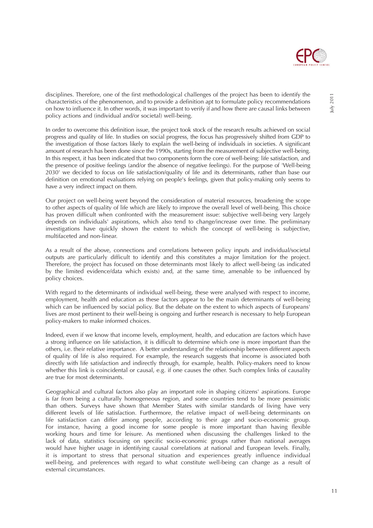

disciplines. Therefore, one of the first methodological challenges of the project has been to identify the characteristics of the phenomenon, and to provide a definition apt to formulate policy recommendations on how to influence it. In other words, it was important to verify if and how there are causal links between policy actions and (individual and/or societal) well-being.

In order to overcome this definition issue, the project took stock of the research results achieved on social progress and quality of life. In studies on social progress, the focus has progressively shifted from GDP to the investigation of those factors likely to explain the well-being of individuals in societies. A significant amount of research has been done since the 1990s, starting from the measurement of subjective well-being. In this respect, it has been indicated that two components form the core of well-being: life satisfaction, and the presence of positive feelings (and/or the absence of negative feelings). For the purpose of 'Well-being 2030' we decided to focus on life satisfaction/quality of life and its determinants, rather than base our definition on emotional evaluations relying on people's feelings, given that policy-making only seems to have a very indirect impact on them.

Our project on well-being went beyond the consideration of material resources, broadening the scope to other aspects of quality of life which are likely to improve the overall level of well-being. This choice has proven difficult when confronted with the measurement issue: subjective well-being very largely depends on individuals' aspirations, which also tend to change/increase over time. The preliminary investigations have quickly shown the extent to which the concept of well-being is subjective, multifaceted and non-linear.

As a result of the above, connections and correlations between policy inputs and individual/societal outputs are particularly difficult to identify and this constitutes a major limitation for the project. Therefore, the project has focused on those determinants most likely to affect well-being (as indicated by the limited evidence/data which exists) and, at the same time, amenable to be influenced by policy choices.

With regard to the determinants of individual well-being, these were analysed with respect to income, employment, health and education as these factors appear to be the main determinants of well-being which can be influenced by social policy. But the debate on the extent to which aspects of Europeans' lives are most pertinent to their well-being is ongoing and further research is necessary to help European policy-makers to make informed choices.

Indeed, even if we know that income levels, employment, health, and education are factors which have a strong influence on life satisfaction, it is difficult to determine which one is more important than the others, i.e. their relative importance. A better understanding of the relationship between different aspects of quality of life is also required. For example, the research suggests that income is associated both directly with life satisfaction and indirectly through, for example, health. Policy-makers need to know whether this link is coincidental or causal, e.g. if one causes the other. Such complex links of causality are true for most determinants.

Geographical and cultural factors also play an important role in shaping citizens' aspirations. Europe is far from being a culturally homogeneous region, and some countries tend to be more pessimistic than others. Surveys have shown that Member States with similar standards of living have very different levels of life satisfaction. Furthermore, the relative impact of well-being determinants on life satisfaction can differ among people, according to their age and socio-economic group. For instance, having a good income for some people is more important than having flexible working hours and time for leisure. As mentioned when discussing the challenges linked to the lack of data, statistics focusing on specific socio-economic groups rather than national averages would have higher usage in identifying causal correlations at national and European levels. Finally, it is important to stress that personal situation and experiences greatly influence individual well-being, and preferences with regard to what constitute well-being can change as a result of external circumstances.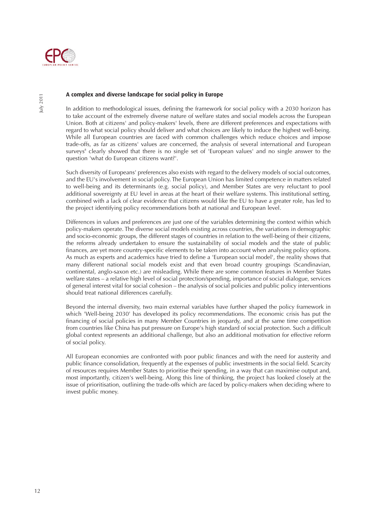

#### **A complex and diverse landscape for social policy in Europe**

In addition to methodological issues, defining the framework for social policy with a 2030 horizon has to take account of the extremely diverse nature of welfare states and social models across the European Union. Both at citizens' and policy-makers' levels, there are different preferences and expectations with regard to what social policy should deliver and what choices are likely to induce the highest well-being. While all European countries are faced with common challenges which reduce choices and impose trade-offs, as far as citizens' values are concerned, the analysis of several international and European surveys<sup>8</sup> clearly showed that there is no single set of 'European values' and no single answer to the question 'what do European citizens want?'.

Such diversity of Europeans' preferences also exists with regard to the delivery models of social outcomes, and the EU's involvement in social policy. The European Union has limited competence in matters related to well-being and its determinants (e.g. social policy), and Member States are very reluctant to pool additional sovereignty at EU level in areas at the heart of their welfare systems. This institutional setting, combined with a lack of clear evidence that citizens would like the EU to have a greater role, has led to the project identifying policy recommendations both at national and European level.

Differences in values and preferences are just one of the variables determining the context within which policy-makers operate. The diverse social models existing across countries, the variations in demographic and socio-economic groups, the different stages of countries in relation to the well-being of their citizens, the reforms already undertaken to ensure the sustainability of social models and the state of public finances, are yet more country-specific elements to be taken into account when analysing policy options. As much as experts and academics have tried to define a 'European social model', the reality shows that many different national social models exist and that even broad country groupings (Scandinavian, continental, anglo-saxon etc.) are misleading. While there are some common features in Member States welfare states – a relative high level of social protection/spending, importance of social dialogue, services of general interest vital for social cohesion – the analysis of social policies and public policy interventions should treat national differences carefully.

Beyond the internal diversity, two main external variables have further shaped the policy framework in which 'Well-being 2030' has developed its policy recommendations. The economic crisis has put the financing of social policies in many Member Countries in jeopardy, and at the same time competition from countries like China has put pressure on Europe's high standard of social protection. Such a difficult global context represents an additional challenge, but also an additional motivation for effective reform of social policy.

All European economies are confronted with poor public finances and with the need for austerity and public finance consolidation, frequently at the expenses of public investments in the social field. Scarcity of resources requires Member States to prioritise their spending, in a way that can maximise output and, most importantly, citizen's well-being. Along this line of thinking, the project has looked closely at the issue of prioritisation, outlining the trade-offs which are faced by policy-makers when deciding where to invest public money.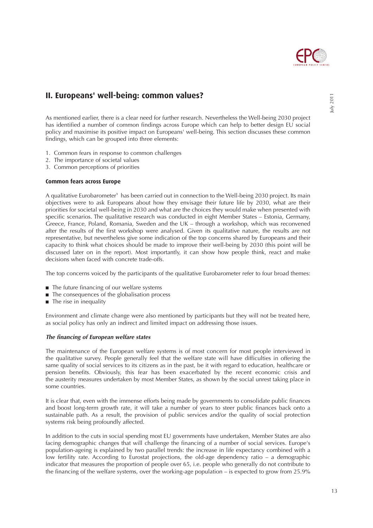

## **II. Europeans' well-being: common values?**

As mentioned earlier, there is a clear need for further research. Nevertheless the Well-being 2030 project has identified a number of common findings across Europe which can help to better design EU social policy and maximise its positive impact on Europeans' well-being. This section discusses these common findings, which can be grouped into three elements:

- 1. Common fears in response to common challenges
- 2. The importance of societal values
- 3. Common perceptions of priorities

#### **Common fears across Europe**

A qualitative Eurobarometer<sup>9</sup> has been carried out in connection to the Well-being 2030 project. Its main objectives were to ask Europeans about how they envisage their future life by 2030, what are their priorities for societal well-being in 2030 and what are the choices they would make when presented with specific scenarios. The qualitative research was conducted in eight Member States – Estonia, Germany, Greece, France, Poland, Romania, Sweden and the UK – through a workshop, which was reconvened after the results of the first workshop were analysed. Given its qualitative nature, the results are not representative, but nevertheless give some indication of the top concerns shared by Europeans and their capacity to think what choices should be made to improve their well-being by 2030 (this point will be discussed later on in the report). Most importantly, it can show how people think, react and make decisions when faced with concrete trade-offs.

The top concerns voiced by the participants of the qualitative Eurobarometer refer to four broad themes:

- The future financing of our welfare systems
- The consequences of the globalisation process
- The rise in inequality

Environment and climate change were also mentioned by participants but they will not be treated here, as social policy has only an indirect and limited impact on addressing those issues.

#### *The financing of European welfare states*

The maintenance of the European welfare systems is of most concern for most people interviewed in the qualitative survey. People generally feel that the welfare state will have difficulties in offering the same quality of social services to its citizens as in the past, be it with regard to education, healthcare or pension benefits. Obviously, this fear has been exacerbated by the recent economic crisis and the austerity measures undertaken by most Member States, as shown by the social unrest taking place in some countries.

It is clear that, even with the immense efforts being made by governments to consolidate public finances and boost long-term growth rate, it will take a number of years to steer public finances back onto a sustainable path. As a result, the provision of public services and/or the quality of social protection systems risk being profoundly affected.

In addition to the cuts in social spending most EU governments have undertaken, Member States are also facing demographic changes that will challenge the financing of a number of social services. Europe's population-ageing is explained by two parallel trends: the increase in life expectancy combined with a low fertility rate. According to Eurostat projections, the old-age dependency ratio – a demographic indicator that measures the proportion of people over 65, i.e. people who generally do not contribute to the financing of the welfare systems, over the working-age population – is expected to grow from 25.9%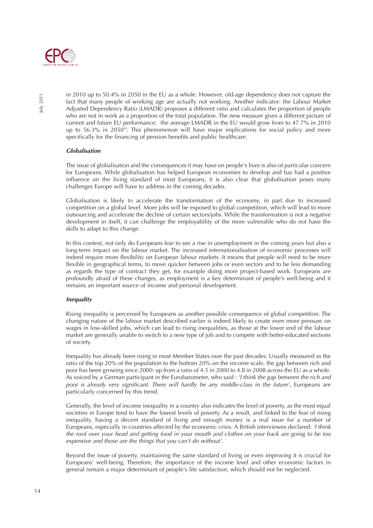

in 2010 up to 50.4% in 2050 in the EU as a whole. However, old-age dependency does not capture the fact that many people of working age are actually not working. Another indicator: the Labour Market Adjusted Dependency Ratio (LMADR) proposes a different ratio and calculates the proportion of people who are not in work as a proportion of the total population. The new measure gives a different picture of current and future EU performance: the average LMADR in the EU would grow from to 47.7% in 2010 up to 56.3% in 2050<sup>10</sup>. This phenomenon will have major implications for social policy and more specifically for the financing of pension benefits and public healthcare.

### *Globalisation*

The issue of globalisation and the consequences it may have on people's lives is also of particular concern for Europeans. While globalisation has helped European economies to develop and has had a positive influence on the living standard of most Europeans, it is also clear that globalisation poses many challenges Europe will have to address in the coming decades.

Globalisation is likely to accelerate the transformation of the economy, in part due to increased competition on a global level. More jobs will be exposed to global competition, which will lead to more outsourcing and accelerate the decline of certain sectors/jobs. While the transformation is not a negative development in itself, it can challenge the employability of the more vulnerable who do not have the skills to adapt to this change.

In this context, not only do Europeans fear to see a rise in unemployment in the coming years but also a long-term impact on the labour market. The increased internationalisation of economic processes will indeed require more flexibility on European labour markets. It means that people will need to be more flexible in geographical terms, to move quicker between jobs or even sectors and to be less demanding as regards the type of contract they get, for example doing more project-based work. Europeans are profoundly afraid of these changes, as employment is a key determinant of people's well-being and it remains an important source of income and personal development.

#### *Inequality*

Rising inequality is perceived by Europeans as another possible consequence of global competition. The changing nature of the labour market described earlier is indeed likely to create even more pressure on wages in low-skilled jobs, which can lead to rising inequalities, as those at the lower end of the labour market are generally unable to switch to a new type of job and to compete with better-educated sections of society.

Inequality has already been rising in most Member States over the past decades. Usually measured as the ratio of the top 20% of the population to the bottom 20% on the income scale, the gap between rich and poor has been growing since 2000: up from a ratio of 4.5 in 2000 to 4.8 in 2008 across the EU as a whole. As voiced by a German participant in the Eurobarometer, who said : 'I think the gap between the rich and poor is already very significant. There will hardly be any middle-class in the future', Europeans are particularly concerned by this trend.

Generally, the level of income inequality in a country also indicates the level of poverty, as the most equal societies in Europe tend to have the lowest levels of poverty. As a result, and linked to the fear of rising inequality, having a decent standard of living and enough money is a real issue for a number of Europeans, especially in countries affected by the economic crisis. A British interviewee declared: 'I think the roof over your head and getting food in your mouth and clothes on your back are going to be too expensive and those are the things that you can't do without'.

Beyond the issue of poverty, maintaining the same standard of living or even improving it is crucial for Europeans' well-being. Therefore, the importance of the income level and other economic factors in general remain a major determinant of people's life satisfaction, which should not be neglected.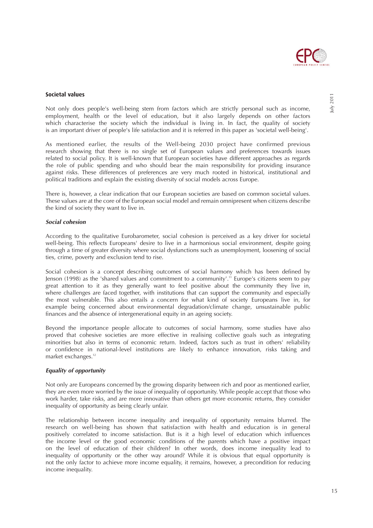

#### **Societal values**

Not only does people's well-being stem from factors which are strictly personal such as income, employment, health or the level of education, but it also largely depends on other factors which characterise the society which the individual is living in. In fact, the quality of society is an important driver of people's life satisfaction and it is referred in this paper as 'societal well-being'.

As mentioned earlier, the results of the Well-being 2030 project have confirmed previous research showing that there is no single set of European values and preferences towards issues related to social policy. It is well-known that European societies have different approaches as regards the role of public spending and who should bear the main responsibility for providing insurance against risks. These differences of preferences are very much rooted in historical, institutional and political traditions and explain the existing diversity of social models across Europe.

There is, however, a clear indication that our European societies are based on common societal values. These values are at the core of the European social model and remain omnipresent when citizens describe the kind of society they want to live in.

#### *Social cohesion*

According to the qualitative Eurobarometer, social cohesion is perceived as a key driver for societal well-being. This reflects Europeans' desire to live in a harmonious social environment, despite going through a time of greater diversity where social dysfunctions such as unemployment, loosening of social ties, crime, poverty and exclusion tend to rise.

Social cohesion is a concept describing outcomes of social harmony which has been defined by Jenson (1998) as the 'shared values and commitment to a community'.<sup>11</sup> Europe's citizens seem to pay great attention to it as they generally want to feel positive about the community they live in, where challenges are faced together, with institutions that can support the community and especially the most vulnerable. This also entails a concern for what kind of society Europeans live in, for example being concerned about environmental degradation/climate change, unsustainable public finances and the absence of intergenerational equity in an ageing society.

Beyond the importance people allocate to outcomes of social harmony, some studies have also proved that cohesive societies are more effective in realising collective goals such as integrating minorities but also in terms of economic return. Indeed, factors such as trust in others' reliability or confidence in national-level institutions are likely to enhance innovation, risks taking and market exchanges.<sup>12</sup>

#### *Equality of opportunity*

Not only are Europeans concerned by the growing disparity between rich and poor as mentioned earlier, they are even more worried by the issue of inequality of opportunity. While people accept that those who work harder, take risks, and are more innovative than others get more economic returns, they consider inequality of opportunity as being clearly unfair.

The relationship between income inequality and inequality of opportunity remains blurred. The research on well-being has shown that satisfaction with health and education is in general positively correlated to income satisfaction. But is it a high level of education which influences the income level or the good economic conditions of the parents which have a positive impact on the level of education of their children? In other words, does income inequality lead to inequality of opportunity or the other way around? While it is obvious that equal opportunity is not the only factor to achieve more income equality, it remains, however, a precondition for reducing income inequality.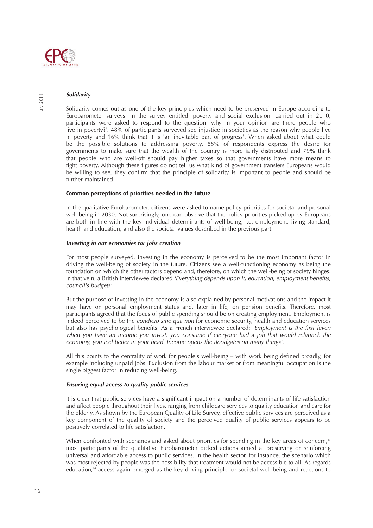

#### *Solidarity*

Solidarity comes out as one of the key principles which need to be preserved in Europe according to Eurobarometer surveys. In the survey entitled 'poverty and social exclusion' carried out in 2010, participants were asked to respond to the question 'why in your opinion are there people who live in poverty?'. 48% of participants surveyed see injustice in societies as the reason why people live in poverty and 16% think that it is 'an inevitable part of progress'. When asked about what could be the possible solutions to addressing poverty, 85% of respondents express the desire for governments to make sure that the wealth of the country is more fairly distributed and 79% think that people who are well-off should pay higher taxes so that governments have more means to fight poverty. Although these figures do not tell us what kind of government transfers Europeans would be willing to see, they confirm that the principle of solidarity is important to people and should be further maintained.

#### **Common perceptions of priorities needed in the future**

In the qualitative Eurobarometer, citizens were asked to name policy priorities for societal and personal well-being in 2030. Not surprisingly, one can observe that the policy priorities picked up by Europeans are both in line with the key individual determinants of well-being, i.e. employment, living standard, health and education, and also the societal values described in the previous part.

#### *Investing in our economies for jobs creation*

For most people surveyed, investing in the economy is perceived to be the most important factor in driving the well-being of society in the future. Citizens see a well-functioning economy as being the foundation on which the other factors depend and, therefore, on which the well-being of society hinges. In that vein, a British interviewee declared 'Everything depends upon it, education, employment benefits, council's budgets'.

But the purpose of investing in the economy is also explained by personal motivations and the impact it may have on personal employment status and, later in life, on pension benefits. Therefore, most participants agreed that the focus of public spending should be on creating employment. Employment is indeed perceived to be the condicio sine qua non for economic security, health and education services but also has psychological benefits. As a French interviewee declared: 'Employment is the first lever: when you have an income you invest, you consume if everyone had a job that would relaunch the economy, you feel better in your head. Income opens the floodgates on many things'.

All this points to the centrality of work for people's well-being – with work being defined broadly, for example including unpaid jobs. Exclusion from the labour market or from meaningful occupation is the single biggest factor in reducing well-being.

#### *Ensuring equal access to quality public services*

It is clear that public services have a significant impact on a number of determinants of life satisfaction and affect people throughout their lives, ranging from childcare services to quality education and care for the elderly. As shown by the European Quality of Life Survey, effective public services are perceived as a key component of the quality of society and the perceived quality of public services appears to be positively correlated to life satisfaction.

When confronted with scenarios and asked about priorities for spending in the key areas of concern,<sup>13</sup> most participants of the qualitative Eurobarometer picked actions aimed at preserving or reinforcing universal and affordable access to public services. In the health sector, for instance, the scenario which was most rejected by people was the possibility that treatment would not be accessible to all. As regards education,<sup>14</sup> access again emerged as the key driving principle for societal well-being and reactions to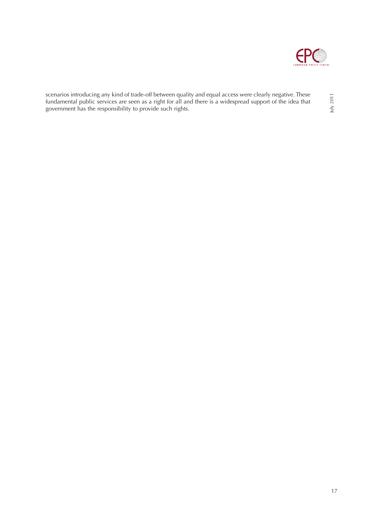

scenarios introducing any kind of trade-off between quality and equal access were clearly negative. These fundamental public services are seen as a right for all and there is a widespread support of the idea that government has the responsibility to provide such rights.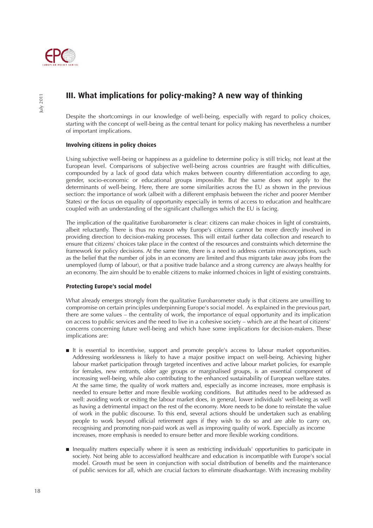

## **III. What implications for policy-making? A new way of thinking**

Despite the shortcomings in our knowledge of well-being, especially with regard to policy choices, starting with the concept of well-being as the central tenant for policy making has nevertheless a number of important implications.

#### **Involving citizens in policy choices**

Using subjective well-being or happiness as a guideline to determine policy is still tricky, not least at the European level. Comparisons of subjective well-being across countries are fraught with difficulties, compounded by a lack of good data which makes between country differentiation according to age, gender, socio-economic or educational groups impossible. But the same does not apply to the determinants of well-being. Here, there are some similarities across the EU as shown in the previous section: the importance of work (albeit with a different emphasis between the richer and poorer Member States) or the focus on equality of opportunity especially in terms of access to education and healthcare coupled with an understanding of the significant challenges which the EU is facing.

The implication of the qualitative Eurobarometer is clear: citizens can make choices in light of constraints, albeit reluctantly. There is thus no reason why Europe's citizens cannot be more directly involved in providing direction to decision-making processes. This will entail further data collection and research to ensure that citizens' choices take place in the context of the resources and constraints which determine the framework for policy decisions. At the same time, there is a need to address certain misconceptions, such as the belief that the number of jobs in an economy are limited and thus migrants take away jobs from the unemployed (lump of labour), or that a positive trade balance and a strong currency are always healthy for an economy. The aim should be to enable citizens to make informed choices in light of existing constraints.

#### **Protecting Europe's social model**

What already emerges strongly from the qualitative Eurobarometer study is that citizens are unwilling to compromise on certain principles underpinning Europe's social model. As explained in the previous part, there are some values – the centrality of work, the importance of equal opportunity and its implication on access to public services and the need to live in a cohesive society – which are at the heart of citizens' concerns concerning future well-being and which have some implications for decision-makers. These implications are:

- It is essential to incentivise, support and promote people's access to labour market opportunities. Addressing worklessness is likely to have a major positive impact on well-being. Achieving higher labour market participation through targeted incentives and active labour market policies, for example for females, new entrants, older age groups or marginalised groups, is an essential component of increasing well-being, while also contributing to the enhanced sustainability of European welfare states. At the same time, the quality of work matters and, especially as income increases, more emphasis is needed to ensure better and more flexible working conditions. But attitudes need to be addressed as well: avoiding work or exiting the labour market does, in general, lower individuals' well-being as well as having a detrimental impact on the rest of the economy. More needs to be done to reinstate the value of work in the public discourse. To this end, several actions should be undertaken such as enabling people to work beyond official retirement ages if they wish to do so and are able to carry on, recognising and promoting non-paid work as well as improving quality of work. Especially as income increases, more emphasis is needed to ensure better and more flexible working conditions.
- Inequality matters especially where it is seen as restricting individuals' opportunities to participate in society. Not being able to access/afford healthcare and education is incompatible with Europe's social model. Growth must be seen in conjunction with social distribution of benefits and the maintenance of public services for all, which are crucial factors to eliminate disadvantage. With increasing mobility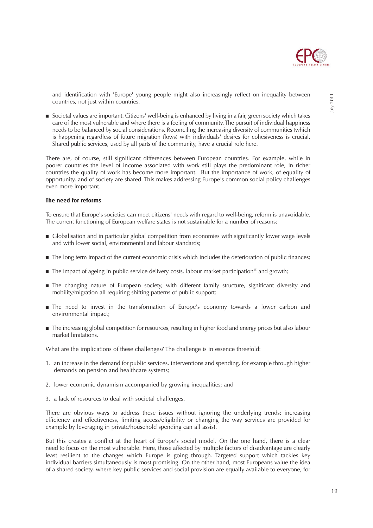

and identification with 'Europe' young people might also increasingly reflect on inequality between countries, not just within countries.

■ Societal values are important. Citizens' well-being is enhanced by living in a fair, green society which takes care of the most vulnerable and where there is a feeling of community. The pursuit of individual happiness needs to be balanced by social considerations. Reconciling the increasing diversity of communities (which is happening regardless of future migration flows) with individuals' desires for cohesiveness is crucial. Shared public services, used by all parts of the community, have a crucial role here.

There are, of course, still significant differences between European countries. For example, while in poorer countries the level of income associated with work still plays the predominant role, in richer countries the quality of work has become more important. But the importance of work, of equality of opportunity, and of society are shared. This makes addressing Europe's common social policy challenges even more important.

#### **The need for reforms**

To ensure that Europe's societies can meet citizens' needs with regard to well-being, reform is unavoidable. The current functioning of European welfare states is not sustainable for a number of reasons:

- Globalisation and in particular global competition from economies with significantly lower wage levels and with lower social, environmental and labour standards;
- The long term impact of the current economic crisis which includes the deterioration of public finances;
- The impact of ageing in public service delivery costs, labour market participation<sup>15</sup> and growth;
- The changing nature of European society, with different family structure, significant diversity and mobility/migration all requiring shifting patterns of public support;
- The need to invest in the transformation of Europe's economy towards a lower carbon and environmental impact;
- The increasing global competition for resources, resulting in higher food and energy prices but also labour market limitations.

What are the implications of these challenges? The challenge is in essence threefold:

- 1. an increase in the demand for public services, interventions and spending, for example through higher demands on pension and healthcare systems;
- 2. lower economic dynamism accompanied by growing inequalities; and
- 3. a lack of resources to deal with societal challenges.

There are obvious ways to address these issues without ignoring the underlying trends: increasing efficiency and effectiveness, limiting access/eligibility or changing the way services are provided for example by leveraging in private/household spending can all assist.

But this creates a conflict at the heart of Europe's social model. On the one hand, there is a clear need to focus on the most vulnerable. Here, those affected by multiple factors of disadvantage are clearly least resilient to the changes which Europe is going through. Targeted support which tackles key individual barriers simultaneously is most promising. On the other hand, most Europeans value the idea of a shared society, where key public services and social provision are equally available to everyone, for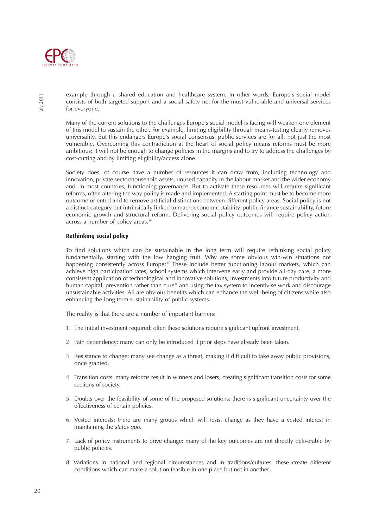

example through a shared education and healthcare system. In other words, Europe's social model consists of both targeted support and a social safety net for the most vulnerable and universal services for everyone.

Many of the current solutions to the challenges Europe's social model is facing will weaken one element of this model to sustain the other. For example, limiting eligibility through means-testing clearly removes universality. But this endangers Europe's social consensus: public services are for all, not just the most vulnerable. Overcoming this contradiction at the heart of social policy means reforms must be more ambitious; it will not be enough to change policies in the margins and to try to address the challenges by cost-cutting and by limiting eligibility/access alone.

Society does, of course have a number of resources it can draw from, including technology and innovation, private sector/household assets, unused capacity in the labour market and the wider economy and, in most countries, functioning governance. But to activate these resources will require significant reforms, often altering the way policy is made and implemented. A starting point must be to become more outcome oriented and to remove artificial distinctions between different policy areas. Social policy is not a distinct category but intrinsically linked to macroeconomic stability, public finance sustainability, future economic growth and structural reform. Delivering social policy outcomes will require policy action across a number of policy areas.<sup>16</sup>

#### **Rethinking social policy**

To find solutions which can be sustainable in the long term will require rethinking social policy fundamentally, starting with the low hanging fruit. Why are some obvious win-win situations not happening consistently across Europe?<sup>17</sup> These include better functioning labour markets, which can achieve high participation rates, school systems which intervene early and provide all-day care, a more consistent application of technological and innovative solutions, investments into future productivity and human capital, prevention rather than cure<sup>18</sup> and using the tax system to incentivise work and discourage unsustainable activities. All are obvious benefits which can enhance the well-being of citizens while also enhancing the long term sustainability of public systems.

The reality is that there are a number of important barriers:

- 1. The initial investment required: often these solutions require significant upfront investment.
- 2. Path dependency: many can only be introduced if prior steps have already been taken.
- 3. Resistance to change: many see change as a threat, making it difficult to take away public provisions, once granted.
- 4. Transition costs: many reforms result in winners and losers, creating significant transition costs for some sections of society.
- 5. Doubts over the feasibility of some of the proposed solutions: there is significant uncertainty over the effectiveness of certain policies.
- 6. Vested interests: there are many groups which will resist change as they have a vested interest in maintaining the status quo.
- 7. Lack of policy instruments to drive change: many of the key outcomes are not directly deliverable by public policies.
- 8. Variations in national and regional circumstances and in traditions/cultures: these create different conditions which can make a solution feasible in one place but not in another.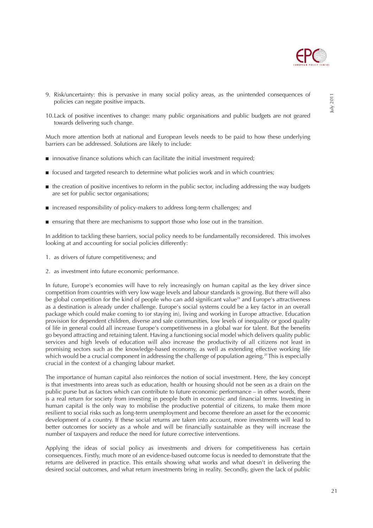

- 9. Risk/uncertainty: this is pervasive in many social policy areas, as the unintended consequences of policies can negate positive impacts.
- 10.Lack of positive incentives to change: many public organisations and public budgets are not geared towards delivering such change.

Much more attention both at national and European levels needs to be paid to how these underlying barriers can be addressed. Solutions are likely to include:

- innovative finance solutions which can facilitate the initial investment required;
- focused and targeted research to determine what policies work and in which countries;
- the creation of positive incentives to reform in the public sector, including addressing the way budgets are set for public sector organisations;
- increased responsibility of policy-makers to address long-term challenges; and
- ensuring that there are mechanisms to support those who lose out in the transition.

In addition to tackling these barriers, social policy needs to be fundamentally reconsidered. This involves looking at and accounting for social policies differently:

- 1. as drivers of future competitiveness; and
- 2. as investment into future economic performance.

In future, Europe's economies will have to rely increasingly on human capital as the key driver since competition from countries with very low wage levels and labour standards is growing. But there will also be global competition for the kind of people who can add significant value<sup>19</sup> and Europe's attractiveness as a destination is already under challenge. Europe's social systems could be a key factor in an overall package which could make coming to (or staying in), living and working in Europe attractive. Education provision for dependent children, diverse and safe communities, low levels of inequality or good quality of life in general could all increase Europe's competitiveness in a global war for talent. But the benefits go beyond attracting and retaining talent. Having a functioning social model which delivers quality public services and high levels of education will also increase the productivity of all citizens not least in promising sectors such as the knowledge-based economy, as well as extending effective working life which would be a crucial component in addressing the challenge of population ageing.<sup>20</sup> This is especially crucial in the context of a changing labour market.

The importance of human capital also reinforces the notion of social investment. Here, the key concept is that investments into areas such as education, health or housing should not be seen as a drain on the public purse but as factors which can contribute to future economic performance – in other words, there is a real return for society from investing in people both in economic and financial terms. Investing in human capital is the only way to mobilise the productive potential of citizens, to make them more resilient to social risks such as long-term unemployment and become therefore an asset for the economic development of a country. If these social returns are taken into account, more investments will lead to better outcomes for society as a whole and will be financially sustainable as they will increase the number of taxpayers and reduce the need for future corrective interventions.

Applying the ideas of social policy as investments and drivers for competitiveness has certain consequences. Firstly, much more of an evidence-based outcome focus is needed to demonstrate that the returns are delivered in practice. This entails showing what works and what doesn't in delivering the desired social outcomes, and what return investments bring in reality. Secondly, given the lack of public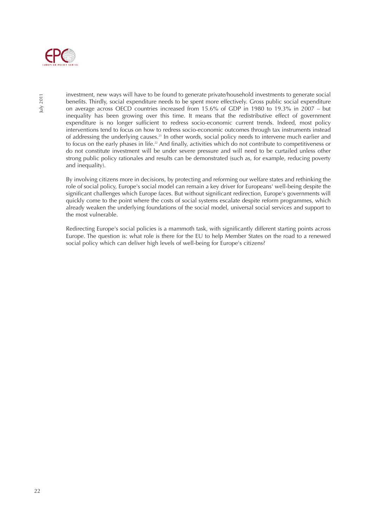

investment, new ways will have to be found to generate private/household investments to generate social benefits. Thirdly, social expenditure needs to be spent more effectively. Gross public social expenditure on average across OECD countries increased from 15.6% of GDP in 1980 to 19.3% in 2007 – but inequality has been growing over this time. It means that the redistributive effect of government expenditure is no longer sufficient to redress socio-economic current trends. Indeed, most policy interventions tend to focus on how to redress socio-economic outcomes through tax instruments instead of addressing the underlying causes.<sup>21</sup> In other words, social policy needs to intervene much earlier and to focus on the early phases in life.<sup>22</sup> And finally, activities which do not contribute to competitiveness or do not constitute investment will be under severe pressure and will need to be curtailed unless other strong public policy rationales and results can be demonstrated (such as, for example, reducing poverty and inequality).

By involving citizens more in decisions, by protecting and reforming our welfare states and rethinking the role of social policy, Europe's social model can remain a key driver for Europeans' well-being despite the significant challenges which Europe faces. But without significant redirection, Europe's governments will quickly come to the point where the costs of social systems escalate despite reform programmes, which already weaken the underlying foundations of the social model, universal social services and support to the most vulnerable.

Redirecting Europe's social policies is a mammoth task, with significantly different starting points across Europe. The question is: what role is there for the EU to help Member States on the road to a renewed social policy which can deliver high levels of well-being for Europe's citizens?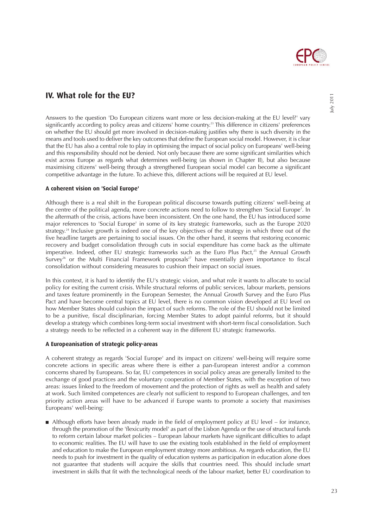

### **IV. What role for the EU?**

Answers to the question 'Do European citizens want more or less decision-making at the EU level?' vary significantly according to policy areas and citizens' home country.<sup>23</sup> This difference in citizens' preferences on whether the EU should get more involved in decision-making justifies why there is such diversity in the means and tools used to deliver the key outcomes that define the European social model. However, it is clear that the EU has also a central role to play in optimising the impact of social policy on Europeans' well-being and this responsibility should not be denied. Not only because there are some significant similarities which exist across Europe as regards what determines well-being (as shown in Chapter II), but also because maximising citizens' well-being through a strengthened European social model can become a significant competitive advantage in the future. To achieve this, different actions will be required at EU level.

#### **A coherent vision on 'Social Europe'**

Although there is a real shift in the European political discourse towards putting citizens' well-being at the centre of the political agenda, more concrete actions need to follow to strengthen 'Social Europe'. In the aftermath of the crisis, actions have been inconsistent. On the one hand, the EU has introduced some major references to 'Social Europe' in some of its key strategic frameworks, such as the Europe 2020 strategy.<sup>24</sup> Inclusive growth is indeed one of the key objectives of the strategy in which three out of the five headline targets are pertaining to social issues. On the other hand, it seems that restoring economic recovery and budget consolidation through cuts in social expenditure has come back as the ultimate imperative. Indeed, other EU strategic frameworks such as the Euro Plus Pact,<sup>25</sup> the Annual Growth Survey<sup>26</sup> or the Multi Financial Framework proposals<sup>27</sup> have essentially given importance to fiscal consolidation without considering measures to cushion their impact on social issues.

In this context, it is hard to identify the EU's strategic vision, and what role it wants to allocate to social policy for exiting the current crisis. While structural reforms of public services, labour markets, pensions and taxes feature prominently in the European Semester, the Annual Growth Survey and the Euro Plus Pact and have become central topics at EU level, there is no common vision developed at EU level on how Member States should cushion the impact of such reforms. The role of the EU should not be limited to be a punitive, fiscal disciplinarian, forcing Member States to adopt painful reforms, but it should develop a strategy which combines long-term social investment with short-term fiscal consolidation. Such a strategy needs to be reflected in a coherent way in the different EU strategic frameworks.

#### **A Europeanisation of strategic policy-areas**

A coherent strategy as regards 'Social Europe' and its impact on citizens' well-being will require some concrete actions in specific areas where there is either a pan-European interest and/or a common concerns shared by Europeans. So far, EU competences in social policy areas are generally limited to the exchange of good practices and the voluntary cooperation of Member States, with the exception of two areas: issues linked to the freedom of movement and the protection of rights as well as health and safety at work. Such limited competences are clearly not sufficient to respond to European challenges, and ten priority action areas will have to be advanced if Europe wants to promote a society that maximises Europeans' well-being:

■ Although efforts have been already made in the field of employment policy at EU level – for instance, through the promotion of the 'flexicurity model' as part of the Lisbon Agenda or the use of structural funds to reform certain labour market policies – European labour markets have significant difficulties to adapt to economic realities. The EU will have to use the existing tools established in the field of employment and education to make the European employment strategy more ambitious. As regards education, the EU needs to push for investment in the quality of education systems as participation in education alone does not guarantee that students will acquire the skills that countries need. This should include smart investment in skills that fit with the technological needs of the labour market, better EU coordination to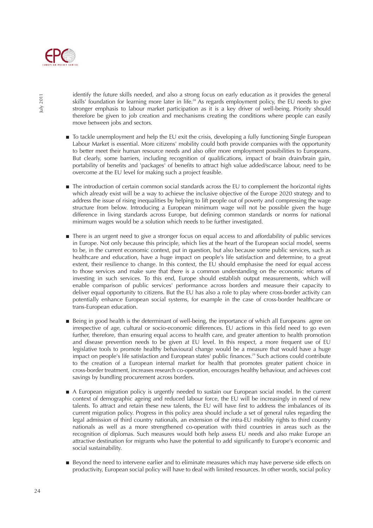

identify the future skills needed, and also a strong focus on early education as it provides the general skills' foundation for learning more later in life.<sup>28</sup> As regards employment policy, the EU needs to give stronger emphasis to labour market participation as it is a key driver of well-being. Priority should therefore be given to job creation and mechanisms creating the conditions where people can easily move between jobs and sectors.

- To tackle unemployment and help the EU exit the crisis, developing a fully functioning Single European Labour Market is essential. More citizens' mobility could both provide companies with the opportunity to better meet their human resource needs and also offer more employment possibilities to Europeans. But clearly, some barriers, including recognition of qualifications, impact of brain drain/brain gain, portability of benefits and 'packages' of benefits to attract high value added/scarce labour, need to be overcome at the EU level for making such a project feasible.
- The introduction of certain common social standards across the EU to complement the horizontal rights which already exist will be a way to achieve the inclusive objective of the Europe 2020 strategy and to address the issue of rising inequalities by helping to lift people out of poverty and compressing the wage structure from below. Introducing a European minimum wage will not be possible given the huge difference in living standards across Europe, but defining common standards or norms for national minimum wages would be a solution which needs to be further investigated.
- There is an urgent need to give a stronger focus on equal access to and affordability of public services in Europe. Not only because this principle, which lies at the heart of the European social model, seems to be, in the current economic context, put in question, but also because some public services, such as healthcare and education, have a huge impact on people's life satisfaction and determine, to a great extent, their resilience to change. In this context, the EU should emphasise the need for equal access to those services and make sure that there is a common understanding on the economic returns of investing in such services. To this end, Europe should establish output measurements, which will enable comparison of public services' performance across borders and measure their capacity to deliver equal opportunity to citizens. But the EU has also a role to play where cross-border activity can potentially enhance European social systems, for example in the case of cross-border healthcare or trans-European education.
- Being in good health is the determinant of well-being, the importance of which all Europeans agree on irrespective of age, cultural or socio-economic differences. EU actions in this field need to go even further, therefore, than ensuring equal access to health care, and greater attention to health promotion and disease prevention needs to be given at EU level. In this respect, a more frequent use of EU legislative tools to promote healthy behavioural change would be a measure that would have a huge impact on people's life satisfaction and European states' public finances.<sup>29</sup> Such actions could contribute to the creation of a European internal market for health that promotes greater patient choice in cross-border treatment, increases research co-operation, encourages healthy behaviour, and achieves cost savings by bundling procurement across borders.
- A European migration policy is urgently needed to sustain our European social model. In the current context of demographic ageing and reduced labour force, the EU will be increasingly in need of new talents. To attract and retain these new talents, the EU will have first to address the imbalances of its current migration policy. Progress in this policy area should include a set of general rules regarding the legal admission of third country nationals, an extension of the intra-EU mobility rights to third country nationals as well as a more strengthened co-operation with third countries in areas such as the recognition of diplomas. Such measures would both help assess EU needs and also make Europe an attractive destination for migrants who have the potential to add significantly to Europe's economic and social sustainability.
- Beyond the need to intervene earlier and to eliminate measures which may have perverse side effects on productivity, European social policy will have to deal with limited resources. In other words, social policy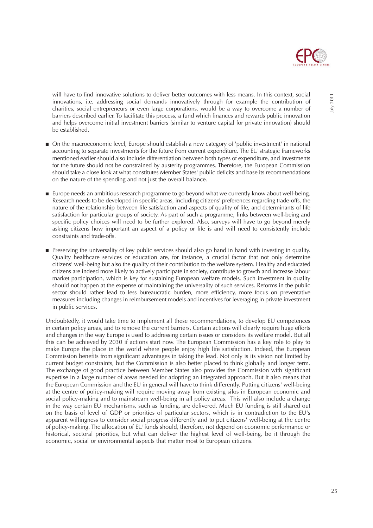

will have to find innovative solutions to deliver better outcomes with less means. In this context, social innovations, i.e. addressing social demands innovatively through for example the contribution of charities, social entrepreneurs or even large corporations, would be a way to overcome a number of barriers described earlier. To facilitate this process, a fund which finances and rewards public innovation and helps overcome initial investment barriers (similar to venture capital for private innovation) should be established.

- On the macroeconomic level, Europe should establish a new category of 'public investment' in national accounting to separate investments for the future from current expenditure. The EU strategic frameworks mentioned earlier should also include differentiation between both types of expenditure, and investments for the future should not be constrained by austerity programmes. Therefore, the European Commission should take a close look at what constitutes Member States' public deficits and base its recommendations on the nature of the spending and not just the overall balance.
- Europe needs an ambitious research programme to go beyond what we currently know about well-being. Research needs to be developed in specific areas, including citizens' preferences regarding trade-offs, the nature of the relationship between life satisfaction and aspects of quality of life, and determinants of life satisfaction for particular groups of society. As part of such a programme, links between well-being and specific policy choices will need to be further explored. Also, surveys will have to go beyond merely asking citizens how important an aspect of a policy or life is and will need to consistently include constraints and trade-offs.
- Preserving the universality of key public services should also go hand in hand with investing in quality. Quality healthcare services or education are, for instance, a crucial factor that not only determine citizens' well-being but also the quality of their contribution to the welfare system. Healthy and educated citizens are indeed more likely to actively participate in society, contribute to growth and increase labour market participation, which is key for sustaining European welfare models. Such investment in quality should not happen at the expense of maintaining the universality of such services. Reforms in the public sector should rather lead to less bureaucratic burden, more efficiency, more focus on preventative measures including changes in reimbursement models and incentives for leveraging in private investment in public services.

Undoubtedly, it would take time to implement all these recommendations, to develop EU competences in certain policy areas, and to remove the current barriers. Certain actions will clearly require huge efforts and changes in the way Europe is used to addressing certain issues or considers its welfare model. But all this can be achieved by 2030 if actions start now. The European Commission has a key role to play to make Europe the place in the world where people enjoy high life satisfaction. Indeed, the European Commission benefits from significant advantages in taking the lead. Not only is its vision not limited by current budget constraints, but the Commission is also better placed to think globally and longer term. The exchange of good practice between Member States also provides the Commission with significant expertise in a large number of areas needed for adopting an integrated approach. But it also means that the European Commission and the EU in general will have to think differently. Putting citizens' well-being at the centre of policy-making will require moving away from existing silos in European economic and social policy-making and to mainstream well-being in all policy areas. This will also include a change in the way certain EU mechanisms, such as funding, are delivered. Much EU funding is still shared out on the basis of level of GDP or priorities of particular sectors, which is in contradiction to the EU's apparent willingness to consider social progress differently and to put citizens' well-being at the centre of policy-making. The allocation of EU funds should, therefore, not depend on economic performance or historical, sectoral priorities, but what can deliver the highest level of well-being, be it through the economic, social or environmental aspects that matter most to European citizens.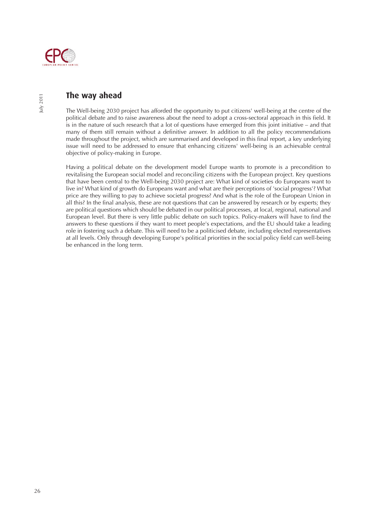

## **The way ahead**

The Well-being 2030 project has afforded the opportunity to put citizens' well-being at the centre of the political debate and to raise awareness about the need to adopt a cross-sectoral approach in this field. It is in the nature of such research that a lot of questions have emerged from this joint initiative – and that many of them still remain without a definitive answer. In addition to all the policy recommendations made throughout the project, which are summarised and developed in this final report, a key underlying issue will need to be addressed to ensure that enhancing citizens' well-being is an achievable central objective of policy-making in Europe.

Having a political debate on the development model Europe wants to promote is a precondition to revitalising the European social model and reconciling citizens with the European project. Key questions that have been central to the Well-being 2030 project are: What kind of societies do Europeans want to live in? What kind of growth do Europeans want and what are their perceptions of 'social progress'? What price are they willing to pay to achieve societal progress? And what is the role of the European Union in all this? In the final analysis, these are not questions that can be answered by research or by experts; they are political questions which should be debated in our political processes, at local, regional, national and European level. But there is very little public debate on such topics. Policy-makers will have to find the answers to these questions if they want to meet people's expectations, and the EU should take a leading role in fostering such a debate. This will need to be a politicised debate, including elected representatives at all levels. Only through developing Europe's political priorities in the social policy field can well-being be enhanced in the long term.